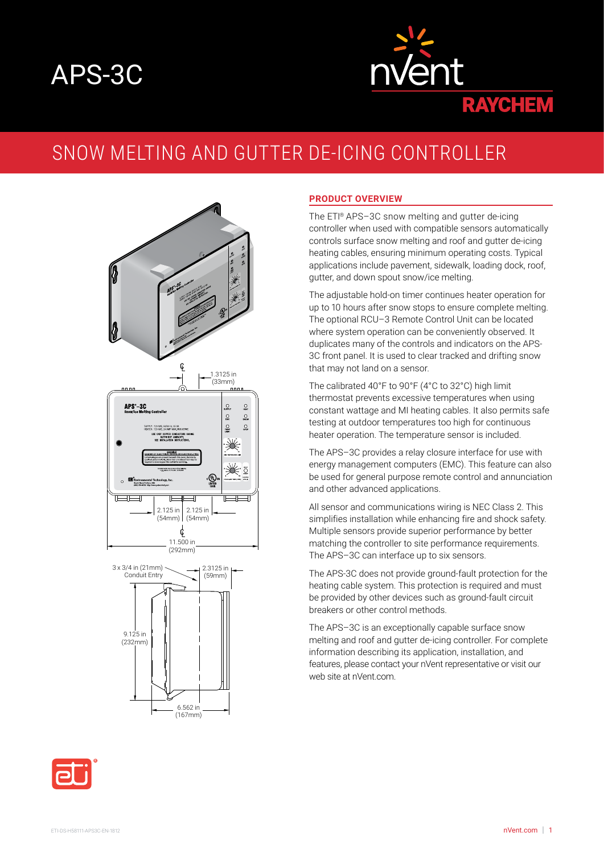# APS-3C



## SNOW MELTING AND GUTTER DE-ICING CONTROLLER





#### **PRODUCT OVERVIEW**

The ETI® APS–3C snow melting and gutter de-icing controller when used with compatible sensors automatically controls surface snow melting and roof and gutter de-icing heating cables, ensuring minimum operating costs. Typical applications include pavement, sidewalk, loading dock, roof, gutter, and down spout snow/ice melting.

The adjustable hold-on timer continues heater operation for up to 10 hours after snow stops to ensure complete melting. The optional RCU–3 Remote Control Unit can be located where system operation can be conveniently observed. It duplicates many of the controls and indicators on the APS-3C front panel. It is used to clear tracked and drifting snow that may not land on a sensor.

The calibrated 40°F to 90°F (4°C to 32°C) high limit thermostat prevents excessive temperatures when using constant wattage and MI heating cables. It also permits safe testing at outdoor temperatures too high for continuous heater operation. The temperature sensor is included.

The APS–3C provides a relay closure interface for use with energy management computers (EMC). This feature can also be used for general purpose remote control and annunciation and other advanced applications.

All sensor and communications wiring is NEC Class 2. This simplifies installation while enhancing fire and shock safety. Multiple sensors provide superior performance by better matching the controller to site performance requirements. The APS–3C can interface up to six sensors.

The APS-3C does not provide ground-fault protection for the heating cable system. This protection is required and must be provided by other devices such as ground-fault circuit breakers or other control methods.

The APS–3C is an exceptionally capable surface snow melting and roof and gutter de-icing controller. For complete information describing its application, installation, and features, please contact your nVent representative or visit our web site at nVent.com.

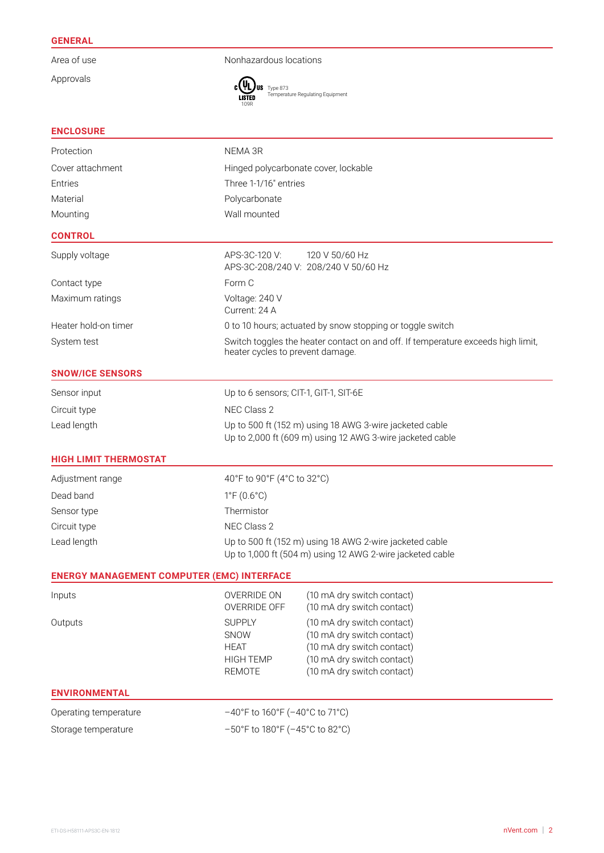### **GENERAL**

Approvals

Area of use Nonhazardous locations



Type 873 Temperature Regulating Equipment

| <b>ENCLOSURE</b> |  |  |
|------------------|--|--|
|                  |  |  |

| Protection                                        | NEMA 3R                                                                                                              |                                                                                                                                                    |  |  |  |  |
|---------------------------------------------------|----------------------------------------------------------------------------------------------------------------------|----------------------------------------------------------------------------------------------------------------------------------------------------|--|--|--|--|
| Cover attachment                                  | Hinged polycarbonate cover, lockable                                                                                 |                                                                                                                                                    |  |  |  |  |
| Entries                                           | Three 1-1/16" entries                                                                                                |                                                                                                                                                    |  |  |  |  |
| Material                                          | Polycarbonate                                                                                                        |                                                                                                                                                    |  |  |  |  |
| Mounting                                          | Wall mounted                                                                                                         |                                                                                                                                                    |  |  |  |  |
| <b>CONTROL</b>                                    |                                                                                                                      |                                                                                                                                                    |  |  |  |  |
| Supply voltage                                    | APS-3C-120 V:<br>120 V 50/60 Hz<br>APS-3C-208/240 V: 208/240 V 50/60 Hz                                              |                                                                                                                                                    |  |  |  |  |
| Contact type                                      | Form C                                                                                                               |                                                                                                                                                    |  |  |  |  |
| Maximum ratings                                   | Voltage: 240 V<br>Current: 24 A                                                                                      |                                                                                                                                                    |  |  |  |  |
| Heater hold-on timer                              | 0 to 10 hours; actuated by snow stopping or toggle switch                                                            |                                                                                                                                                    |  |  |  |  |
| System test                                       | Switch toggles the heater contact on and off. If temperature exceeds high limit,<br>heater cycles to prevent damage. |                                                                                                                                                    |  |  |  |  |
| <b>SNOW/ICE SENSORS</b>                           |                                                                                                                      |                                                                                                                                                    |  |  |  |  |
| Sensor input                                      | Up to 6 sensors; CIT-1, GIT-1, SIT-6E                                                                                |                                                                                                                                                    |  |  |  |  |
| Circuit type                                      | NEC Class 2                                                                                                          |                                                                                                                                                    |  |  |  |  |
| Lead length                                       | Up to 500 ft (152 m) using 18 AWG 3-wire jacketed cable<br>Up to 2,000 ft (609 m) using 12 AWG 3-wire jacketed cable |                                                                                                                                                    |  |  |  |  |
| <b>HIGH LIMIT THERMOSTAT</b>                      |                                                                                                                      |                                                                                                                                                    |  |  |  |  |
| Adjustment range                                  | 40°F to 90°F (4°C to 32°C)                                                                                           |                                                                                                                                                    |  |  |  |  |
| Dead band                                         | $1^{\circ}F(0.6^{\circ}C)$                                                                                           |                                                                                                                                                    |  |  |  |  |
| Sensor type                                       | Thermistor                                                                                                           |                                                                                                                                                    |  |  |  |  |
| Circuit type                                      | NEC Class 2                                                                                                          |                                                                                                                                                    |  |  |  |  |
| Lead length                                       | Up to 500 ft (152 m) using 18 AWG 2-wire jacketed cable<br>Up to 1,000 ft (504 m) using 12 AWG 2-wire jacketed cable |                                                                                                                                                    |  |  |  |  |
| <b>ENERGY MANAGEMENT COMPUTER (EMC) INTERFACE</b> |                                                                                                                      |                                                                                                                                                    |  |  |  |  |
| Inputs                                            | OVERRIDE OFF                                                                                                         | OVERRIDE ON (10 mA dry switch contact)<br>(10 mA dry switch contact)                                                                               |  |  |  |  |
| Outputs                                           | <b>SUPPLY</b><br>SNOW<br><b>HEAT</b><br><b>HIGH TEMP</b><br><b>REMOTE</b>                                            | (10 mA dry switch contact)<br>(10 mA dry switch contact)<br>(10 mA dry switch contact)<br>(10 mA dry switch contact)<br>(10 mA dry switch contact) |  |  |  |  |
| <b>ENVIRONMENTAL</b>                              |                                                                                                                      |                                                                                                                                                    |  |  |  |  |
| Operating temperature                             | $-40^{\circ}$ F to 160 $^{\circ}$ F ( $-40^{\circ}$ C to 71 $^{\circ}$ C)                                            |                                                                                                                                                    |  |  |  |  |
| Storage temperature                               | $-50^{\circ}$ F to 180 $^{\circ}$ F ( $-45^{\circ}$ C to 82 $^{\circ}$ C)                                            |                                                                                                                                                    |  |  |  |  |